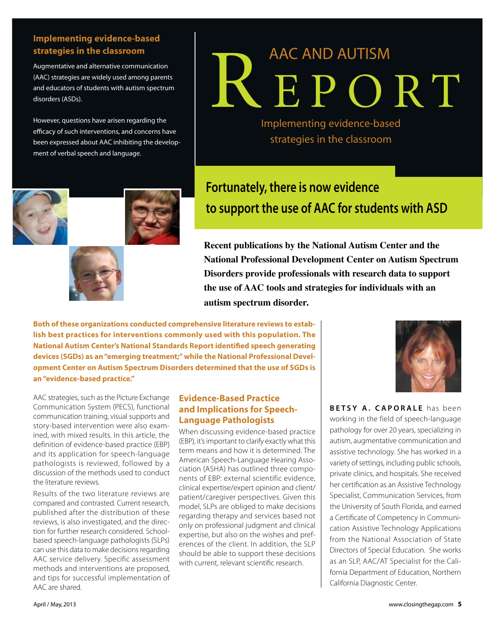### **Implementing evidence-based strategies in the classroom**

Augmentative and alternative communication (AAC) strategies are widely used among parents and educators of students with autism spectrum disorders (ASDs).

However, questions have arisen regarding the efficacy of such interventions, and concerns have been expressed about AAC inhibiting the development of verbal speech and language.





# REPORT AAC AND AUTISM

Implementing evidence-based strategies in the classroom

### **Fortunately, there is now evidence to support the use of AAC for students with ASD**

**Recent publications by the National Autism Center and the National Professional Development Center on Autism Spectrum Disorders provide professionals with research data to support the use of AAC tools and strategies for individuals with an autism spectrum disorder.** 

**Both of these organizations conducted comprehensive literature reviews to establish best practices for interventions commonly used with this population. The National Autism Center's National Standards Report identified speech generating devices (SGDs) as an "emerging treatment;" while the National Professional Development Center on Autism Spectrum Disorders determined that the use of SGDs is an "evidence-based practice."** 

AAC strategies, such as the Picture Exchange Communication System (PECS), functional communication training, visual supports and story-based intervention were also examined, with mixed results. In this article, the definition of evidence-based practice (EBP) and its application for speech-language pathologists is reviewed, followed by a discussion of the methods used to conduct the literature reviews.

Results of the two literature reviews are compared and contrasted. Current research, published after the distribution of these reviews, is also investigated, and the direction for further research considered. Schoolbased speech-language pathologists (SLPs) can use this data to make decisions regarding AAC service delivery. Specific assessment methods and interventions are proposed, and tips for successful implementation of AAC are shared.

### **Evidence-Based Practice and Implications for Speech-Language Pathologists**

When discussing evidence-based practice (EBP), it's important to clarify exactly what this term means and how it is determined. The American Speech-Language Hearing Association (ASHA) has outlined three components of EBP: external scientific evidence, clinical expertise/expert opinion and client/ patient/caregiver perspectives. Given this model, SLPs are obliged to make decisions regarding therapy and services based not only on professional judgment and clinical expertise, but also on the wishes and preferences of the client. In addition, the SLP should be able to support these decisions with current, relevant scientific research.



**BETSY A. CAPORALE** has been working in the field of speech-language pathology for over 20 years, specializing in autism, augmentative communication and assistive technology. She has worked in a variety of settings, including public schools, private clinics, and hospitals. She received her certification as an Assistive Technology Specialist, Communication Services, from the University of South Florida, and earned a Certificate of Competency in Communication Assistive Technology Applications from the National Association of State Directors of Special Education. She works as an SLP, AAC/AT Specialist for the California Department of Education, Northern California Diagnostic Center.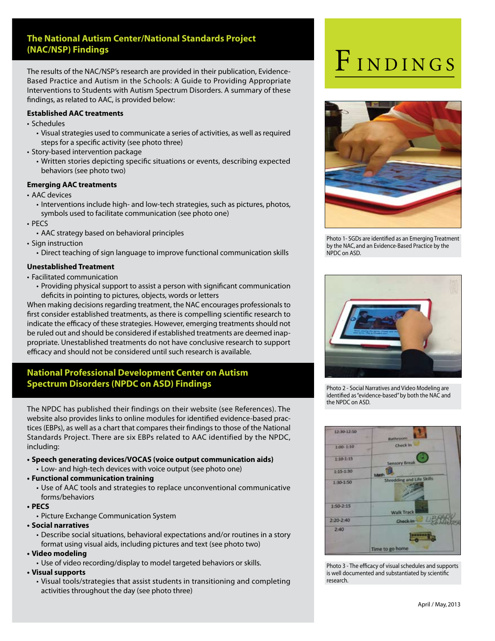### **The National Autism Center/National Standards Project (NAC/NSP) Findings**

The results of the NAC/NSP's research are provided in their publication, Evidence-Based Practice and Autism in the Schools: A Guide to Providing Appropriate Interventions to Students with Autism Spectrum Disorders. A summary of these findings, as related to AAC, is provided below:

### **Established AAC treatments**

- Schedules
	- Visual strategies used to communicate a series of activities, as well as required steps for a specific activity (see photo three)
- Story-based intervention package
	- Written stories depicting specific situations or events, describing expected behaviors (see photo two)

### **Emerging AAC treatments**

- AAC devices
	- $\cdot$  Interventions include high- and low-tech strategies, such as pictures, photos, symbols used to facilitate communication (see photo one)
- $\cdot$  PECS
	- AAC strategy based on behavioral principles
- $\cdot$  Sign instruction
	- Direct teaching of sign language to improve functional communication skills

### **Unestablished Treatment**

- **Facilitated communication** 
	- Providing physical support to assist a person with significant communication deficits in pointing to pictures, objects, words or letters

When making decisions regarding treatment, the NAC encourages professionals to first consider established treatments, as there is compelling scientific research to indicate the efficacy of these strategies. However, emerging treatments should not be ruled out and should be considered if established treatments are deemed inappropriate. Unestablished treatments do not have conclusive research to support efficacy and should not be considered until such research is available.

### **National Professional Development Center on Autism Spectrum Disorders (NPDC on ASD) Findings**

The NPDC has published their findings on their website (see References). The website also provides links to online modules for identified evidence-based practices (EBPs), as well as a chart that compares their findings to those of the National Standards Project. There are six EBPs related to AAC identified by the NPDC, including:

**tSpeech generating devices/VOCAS (voice output communication aids)** • Low- and high-tech devices with voice output (see photo one)

### **tFunctional communication training**

• Use of AAC tools and strategies to replace unconventional communicative forms/behaviors

### **tPECS**

- Picture Exchange Communication System
- **tSocial narratives** 
	- Describe social situations, behavioral expectations and/or routines in a story format using visual aids, including pictures and text (see photo two)

#### **tVideo modeling**

• Use of video recording/display to model targeted behaviors or skills.

#### **tVisual supports**

• Visual tools/strategies that assist students in transitioning and completing activities throughout the day (see photo three)

## FINDINGS



Photo 1- SGDs are identified as an Emerging Treatment by the NAC, and an Evidence-Based Practice by the NPDC on ASD.



Photo 2 - Social Narratives and Video Modeling are identified as "evidence-based" by both the NAC and the NPDC on ASD.



Photo 3 - The efficacy of visual schedules and supports is well documented and substantiated by scientific research.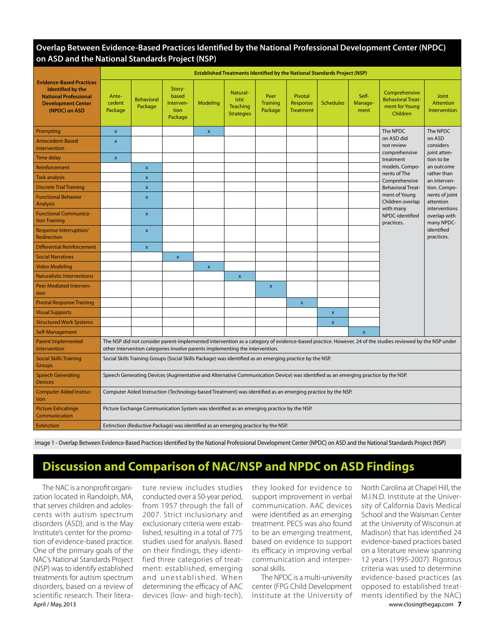### **Overlap Between Evidence-Based Practices Identified by the National Professional Development Center (NPDC) on ASD and the National Standards Project (NSP)**

| <b>Evidence-Based Practices</b><br>Identified by the<br><b>National Professional</b><br><b>Development Center</b><br>(NPDC) on ASD | <b>Established Treatments Identified by the National Standards Project (NSP)</b>                                                                                                                                                        |                              |                                                 |                    |                                                           |                                    |                                         |                  |                          |                                                                                                                                                                                                                                      |                                                                                                                                                                                                                                      |
|------------------------------------------------------------------------------------------------------------------------------------|-----------------------------------------------------------------------------------------------------------------------------------------------------------------------------------------------------------------------------------------|------------------------------|-------------------------------------------------|--------------------|-----------------------------------------------------------|------------------------------------|-----------------------------------------|------------------|--------------------------|--------------------------------------------------------------------------------------------------------------------------------------------------------------------------------------------------------------------------------------|--------------------------------------------------------------------------------------------------------------------------------------------------------------------------------------------------------------------------------------|
|                                                                                                                                    | Ante-<br>cedent<br>Package                                                                                                                                                                                                              | <b>Behavioral</b><br>Package | Story-<br>based<br>Interven-<br>tion<br>Package | Modeling           | Natural-<br><b>istic</b><br>Teaching<br><b>Strategies</b> | Peer<br><b>Training</b><br>Package | Pivotal<br>Response<br><b>Treatment</b> | <b>Schedules</b> | Self-<br>Manage-<br>ment | Comprehensive<br><b>Behavioral Treat-</b><br>ment for Young<br>Children                                                                                                                                                              | Joint<br><b>Attention</b><br>Intervention                                                                                                                                                                                            |
| Prompting                                                                                                                          | $\pmb{\mathsf{x}}$                                                                                                                                                                                                                      |                              |                                                 | $\pmb{\mathsf{x}}$ |                                                           |                                    |                                         |                  |                          | The NPDC<br>on ASD did<br>not review<br>comprehensive<br>treatment<br>models. Compo-<br>nents of The<br>Comprehensive<br><b>Behavioral Treat-</b><br>ment of Young<br>Children overlap<br>with many<br>NPDC-identified<br>practices. | The NPDC<br>on ASD<br>considers<br>joint atten-<br>tion to be<br>an outcome<br>rather than<br>an interven-<br>tion. Compo-<br>nents of joint<br>attention<br>interventions<br>overlap with<br>many NPDC-<br>identified<br>practices. |
| <b>Antecedent-Based</b><br><b>Intervention</b>                                                                                     | $\pmb{\mathsf{x}}$                                                                                                                                                                                                                      |                              |                                                 |                    |                                                           |                                    |                                         |                  |                          |                                                                                                                                                                                                                                      |                                                                                                                                                                                                                                      |
| <b>Time delay</b>                                                                                                                  | $\pmb{\mathsf{x}}$                                                                                                                                                                                                                      |                              |                                                 |                    |                                                           |                                    |                                         |                  |                          |                                                                                                                                                                                                                                      |                                                                                                                                                                                                                                      |
| Reinforcement                                                                                                                      |                                                                                                                                                                                                                                         | $\boldsymbol{\mathsf{x}}$    |                                                 |                    |                                                           |                                    |                                         |                  |                          |                                                                                                                                                                                                                                      |                                                                                                                                                                                                                                      |
| <b>Task analysis</b>                                                                                                               |                                                                                                                                                                                                                                         | $\boldsymbol{\mathsf{x}}$    |                                                 |                    |                                                           |                                    |                                         |                  |                          |                                                                                                                                                                                                                                      |                                                                                                                                                                                                                                      |
| <b>Discrete Trial Training</b>                                                                                                     |                                                                                                                                                                                                                                         | $\boldsymbol{\mathsf{x}}$    |                                                 |                    |                                                           |                                    |                                         |                  |                          |                                                                                                                                                                                                                                      |                                                                                                                                                                                                                                      |
| <b>Functional Behavior</b><br><b>Analysis</b>                                                                                      |                                                                                                                                                                                                                                         | $\mathbf{x}$                 |                                                 |                    |                                                           |                                    |                                         |                  |                          |                                                                                                                                                                                                                                      |                                                                                                                                                                                                                                      |
| <b>Functional Communica-</b><br>tion Training                                                                                      |                                                                                                                                                                                                                                         | $\pmb{\times}$               |                                                 |                    |                                                           |                                    |                                         |                  |                          |                                                                                                                                                                                                                                      |                                                                                                                                                                                                                                      |
| <b>Response Interruption/</b><br>Redirection                                                                                       |                                                                                                                                                                                                                                         | $\pmb{\times}$               |                                                 |                    |                                                           |                                    |                                         |                  |                          |                                                                                                                                                                                                                                      |                                                                                                                                                                                                                                      |
| <b>Differential Reinforcement</b>                                                                                                  |                                                                                                                                                                                                                                         | $\pmb{\mathsf{x}}$           |                                                 |                    |                                                           |                                    |                                         |                  |                          |                                                                                                                                                                                                                                      |                                                                                                                                                                                                                                      |
| <b>Social Narratives</b>                                                                                                           |                                                                                                                                                                                                                                         |                              | $\pmb{\mathsf{x}}$                              |                    |                                                           |                                    |                                         |                  |                          |                                                                                                                                                                                                                                      |                                                                                                                                                                                                                                      |
| <b>Video Modeling</b>                                                                                                              |                                                                                                                                                                                                                                         |                              |                                                 | $\pmb{\mathsf{x}}$ |                                                           |                                    |                                         |                  |                          |                                                                                                                                                                                                                                      |                                                                                                                                                                                                                                      |
| <b>Naturalistic Interventions</b>                                                                                                  |                                                                                                                                                                                                                                         |                              |                                                 |                    | $\pmb{\mathsf{x}}$                                        |                                    |                                         |                  |                          |                                                                                                                                                                                                                                      |                                                                                                                                                                                                                                      |
| <b>Peer Mediated Interven-</b><br>tion                                                                                             |                                                                                                                                                                                                                                         |                              |                                                 |                    |                                                           | $\pmb{\mathsf{x}}$                 |                                         |                  |                          |                                                                                                                                                                                                                                      |                                                                                                                                                                                                                                      |
| <b>Pivotal Response Training</b>                                                                                                   |                                                                                                                                                                                                                                         |                              |                                                 |                    |                                                           |                                    | $\pmb{\times}$                          |                  |                          |                                                                                                                                                                                                                                      |                                                                                                                                                                                                                                      |
| <b>Visual Supports</b>                                                                                                             |                                                                                                                                                                                                                                         |                              |                                                 |                    |                                                           |                                    |                                         | $\pmb{\times}$   |                          |                                                                                                                                                                                                                                      |                                                                                                                                                                                                                                      |
| <b>Structured Work Systems</b>                                                                                                     |                                                                                                                                                                                                                                         |                              |                                                 |                    |                                                           |                                    |                                         | $\pmb{\times}$   |                          |                                                                                                                                                                                                                                      |                                                                                                                                                                                                                                      |
| Self-Management                                                                                                                    |                                                                                                                                                                                                                                         |                              |                                                 |                    |                                                           |                                    |                                         |                  | $\mathbf{x}$             |                                                                                                                                                                                                                                      |                                                                                                                                                                                                                                      |
| <b>Parent Implemented</b><br>Intervention                                                                                          | The NSP did not consider parent-implemented intervention as a category of evidence-based practice. However, 24 of the studies reviewed by the NSP under<br>other intervention categories involve parents implementing the intervention. |                              |                                                 |                    |                                                           |                                    |                                         |                  |                          |                                                                                                                                                                                                                                      |                                                                                                                                                                                                                                      |
| <b>Social Skills Training</b><br><b>Groups</b>                                                                                     | Social Skills Training Groups (Social Skills Package) was identified as an emerging practice by the NSP.                                                                                                                                |                              |                                                 |                    |                                                           |                                    |                                         |                  |                          |                                                                                                                                                                                                                                      |                                                                                                                                                                                                                                      |
| <b>Speech Generating</b><br><b>Devices</b>                                                                                         | Speech Generating Devices (Augmentative and Alternative Communication Device) was identified as an emerging practice by the NSP.                                                                                                        |                              |                                                 |                    |                                                           |                                    |                                         |                  |                          |                                                                                                                                                                                                                                      |                                                                                                                                                                                                                                      |
| <b>Computer Aided Instruc-</b><br>tion                                                                                             | Computer Aided Instruction (Technology-based Treatment) was identified as an emerging practice by the NSP.                                                                                                                              |                              |                                                 |                    |                                                           |                                    |                                         |                  |                          |                                                                                                                                                                                                                                      |                                                                                                                                                                                                                                      |
| <b>Picture Exhcahnge</b><br>Communication                                                                                          | Picture Exchange Communication System was identified as an emerging practice by the NSP.                                                                                                                                                |                              |                                                 |                    |                                                           |                                    |                                         |                  |                          |                                                                                                                                                                                                                                      |                                                                                                                                                                                                                                      |
| <b>Extinction</b>                                                                                                                  | Extinction (Reductive Package) was identified as an emerging practice by the NSP.                                                                                                                                                       |                              |                                                 |                    |                                                           |                                    |                                         |                  |                          |                                                                                                                                                                                                                                      |                                                                                                                                                                                                                                      |

Image 1 - Overlap Between Evidence-Based Practices Identified by the National Professional Development Center (NPDC) on ASD and the National Standards Project (NSP)

### **Discussion and Comparison of NAC/NSP and NPDC on ASD Findings**

April / May, 2013 www.closingthegap.com **7** The NAC is a nonprofit organization located in Randolph, MA, that serves children and adolescents with autism spectrum disorders (ASD), and is the May Institute's center for the promotion of evidence-based practice. One of the primary goals of the NAC's National Standards Project (NSP) was to identify established treatments for autism spectrum disorders, based on a review of scientific research. Their litera-

ture review includes studies conducted over a 50-year period, from 1957 through the fall of 2007. Strict inclusionary and exclusionary criteria were established, resulting in a total of 775 studies used for analysis. Based on their findings, they identified three categories of treatment: established, emerging and unestablished. When determining the efficacy of AAC devices (low- and high-tech),

they looked for evidence to support improvement in verbal communication. AAC devices were identified as an emerging treatment. PECS was also found to be an emerging treatment, based on evidence to support its efficacy in improving verbal communication and interpersonal skills.

The NPDC is a multi-university center (FPG Child Development Institute at the University of

North Carolina at Chapel Hill, the M.I.N.D. Institute at the University of California Davis Medical School and the Waisman Center at the University of Wisconsin at Madison) that has identified 24 evidence-based practices based on a literature review spanning 12 years (1995-2007). Rigorous criteria was used to determine evidence-based practices (as opposed to established treatments identified by the NAC)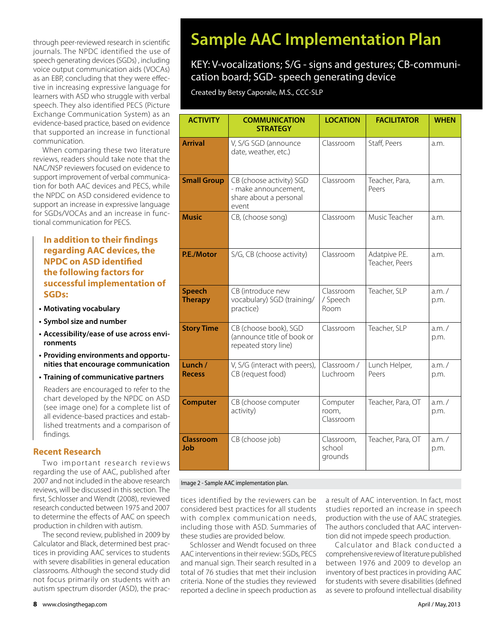through peer-reviewed research in scientific journals. The NPDC identified the use of speech generating devices (SGDs) , including voice output communication aids (VOCAs) as an EBP, concluding that they were effective in increasing expressive language for learners with ASD who struggle with verbal speech. They also identified PECS (Picture Exchange Communication System) as an evidence-based practice, based on evidence that supported an increase in functional communication.

When comparing these two literature reviews, readers should take note that the NAC/NSP reviewers focused on evidence to support improvement of verbal communication for both AAC devices and PECS, while the NPDC on ASD considered evidence to support an increase in expressive language for SGDs/VOCAs and an increase in functional communication for PECS.

### **In addition to their findings regarding AAC devices, the NPDC on ASD identified the following factors for successful implementation of SGDs:**

- **tMotivating vocabulary**
- **tSymbol size and number**
- **tAccessibility/ease of use across environments**
- **tProviding environments and opportunities that encourage communication**
- **tTraining of communicative partners**

Readers are encouraged to refer to the chart developed by the NPDC on ASD (see image one) for a complete list of all evidence-based practices and established treatments and a comparison of findings.

### **Recent Research**

Two important research reviews regarding the use of AAC, published after 2007 and not included in the above research reviews, will be discussed in this section. The first, Schlosser and Wendt (2008), reviewed research conducted between 1975 and 2007 to determine the effects of AAC on speech production in children with autism.

The second review, published in 2009 by Calculator and Black, determined best practices in providing AAC services to students with severe disabilities in general education classrooms. Although the second study did not focus primarily on students with an autism spectrum disorder (ASD), the prac-

### **Sample AAC Implementation Plan**

### KEY: V-vocalizations; S/G - signs and gestures; CB-communication board; SGD- speech generating device

Created by Betsy Caporale, M.S., CCC-SLP

| <b>ACTIVITY</b>                 | <b>COMMUNICATION</b><br><b>STRATEGY</b>                                             | <b>LOCATION</b>                 | <b>FACILITATOR</b>              | <b>WHEN</b>      |
|---------------------------------|-------------------------------------------------------------------------------------|---------------------------------|---------------------------------|------------------|
| <b>Arrival</b>                  | V, S/G SGD (announce<br>date, weather, etc.)                                        | Classroom                       | Staff, Peers                    | a.m.             |
| <b>Small Group</b>              | CB (choose activity) SGD<br>- make announcement,<br>share about a personal<br>event | Classroom                       | Teacher, Para,<br>Peers         | a.m.             |
| <b>Music</b>                    | CB, (choose song)                                                                   | Classroom                       | Music Teacher                   | a.m.             |
| P.E./Motor                      | S/G, CB (choose activity)                                                           | Classroom                       | Adatpive P.E.<br>Teacher, Peers | a.m.             |
| <b>Speech</b><br><b>Therapy</b> | CB (introduce new<br>vocabulary) SGD (training/<br>practice)                        | Classroom<br>/ Speech<br>Room   | Teacher, SLP                    | $a.m.$ /<br>p.m. |
| <b>Story Time</b>               | CB (choose book), SGD<br>(announce title of book or<br>repeated story line)         | Classroom                       | Teacher, SLP                    | a.m. /<br>p.m.   |
| Lunch /<br><b>Recess</b>        | V, S/G (interact with peers),<br>CB (request food)                                  | Classroom /<br>Luchroom         | Lunch Helper,<br>Peers          | a.m. /<br>p.m.   |
| <b>Computer</b>                 | CB (choose computer<br>activity)                                                    | Computer<br>room,<br>Classroom  | Teacher, Para, OT               | a.m. /<br>p.m.   |
| Classroom<br>Job                | CB (choose job)                                                                     | Classroom,<br>school<br>grounds | Teacher, Para, OT               | a.m. /<br>p.m.   |

#### Image 2 - Sample AAC implementation plan.

tices identified by the reviewers can be considered best practices for all students with complex communication needs, including those with ASD. Summaries of these studies are provided below.

Schlosser and Wendt focused on three AAC interventions in their review: SGDs, PECS and manual sign. Their search resulted in a total of 76 studies that met their inclusion criteria. None of the studies they reviewed reported a decline in speech production as

a result of AAC intervention. In fact, most studies reported an increase in speech production with the use of AAC strategies. The authors concluded that AAC intervention did not impede speech production.

Calculator and Black conducted a comprehensive review of literature published between 1976 and 2009 to develop an inventory of best practices in providing AAC for students with severe disabilities (defined as severe to profound intellectual disability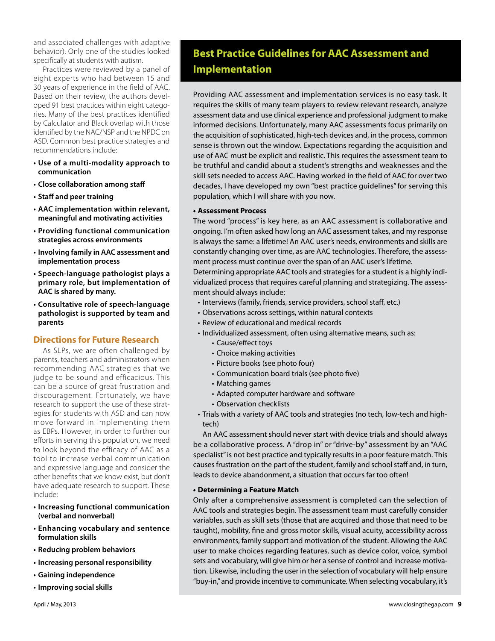and associated challenges with adaptive behavior). Only one of the studies looked specifically at students with autism.

Practices were reviewed by a panel of eight experts who had between 15 and 30 years of experience in the field of AAC. Based on their review, the authors developed 91 best practices within eight categories. Many of the best practices identified by Calculator and Black overlap with those identified by the NAC/NSP and the NPDC on ASD. Common best practice strategies and recommendations include:

- **tUse of a multi-modality approach to communication**
- **Close collaboration among staff**
- **Staff and peer training**
- **tAAC implementation within relevant, meaningful and motivating activities**
- **tProviding functional communication strategies across environments**
- **tInvolving family in AAC assessment and implementation process**
- **tSpeech-language pathologist plays a primary role, but implementation of AAC is shared by many.**
- **tConsultative role of speech-language pathologist is supported by team and parents**

### **Directions for Future Research**

As SLPs, we are often challenged by parents, teachers and administrators when recommending AAC strategies that we judge to be sound and efficacious. This can be a source of great frustration and discouragement. Fortunately, we have research to support the use of these strategies for students with ASD and can now move forward in implementing them as EBPs. However, in order to further our efforts in serving this population, we need to look beyond the efficacy of AAC as a tool to increase verbal communication and expressive language and consider the other benefits that we know exist, but don't have adequate research to support. These include:

- **tIncreasing functional communication (verbal and nonverbal)**
- **tEnhancing vocabulary and sentence formulation skills**
- **tReducing problem behaviors**
- **tIncreasing personal responsibility**
- **tGaining independence**
- **tImproving social skills**

Providing AAC assessment and implementation services is no easy task. It requires the skills of many team players to review relevant research, analyze assessment data and use clinical experience and professional judgment to make informed decisions. Unfortunately, many AAC assessments focus primarily on the acquisition of sophisticated, high-tech devices and, in the process, common sense is thrown out the window. Expectations regarding the acquisition and use of AAC must be explicit and realistic. This requires the assessment team to be truthful and candid about a student's strengths and weaknesses and the skill sets needed to access AAC. Having worked in the field of AAC for over two decades, I have developed my own "best practice guidelines" for serving this population, which I will share with you now.

### **tAssessment Process**

The word "process" is key here, as an AAC assessment is collaborative and ongoing. I'm often asked how long an AAC assessment takes, and my response is always the same: a lifetime! An AAC user's needs, environments and skills are constantly changing over time, as are AAC technologies. Therefore, the assessment process must continue over the span of an AAC user's lifetime.

Determining appropriate AAC tools and strategies for a student is a highly individualized process that requires careful planning and strategizing. The assessment should always include:

- · Interviews (family, friends, service providers, school staff, etc.)
- Observations across settings, within natural contexts
- Review of educational and medical records
- Individualized assessment, often using alternative means, such as:
	- Cause/effect toys
	- Choice making activities
	- Picture books (see photo four)
	- Communication board trials (see photo five)
	- Matching games
	- Adapted computer hardware and software
	- Observation checklists
- Trials with a variety of AAC tools and strategies (no tech, low-tech and hightech)

An AAC assessment should never start with device trials and should always be a collaborative process. A "drop in" or "drive-by" assessment by an "AAC specialist" is not best practice and typically results in a poor feature match. This causes frustration on the part of the student, family and school staff and, in turn, leads to device abandonment, a situation that occurs far too often!

#### **tDetermining a Feature Match**

Only after a comprehensive assessment is completed can the selection of AAC tools and strategies begin. The assessment team must carefully consider variables, such as skill sets (those that are acquired and those that need to be taught), mobility, fine and gross motor skills, visual acuity, accessibility across environments, family support and motivation of the student. Allowing the AAC user to make choices regarding features, such as device color, voice, symbol sets and vocabulary, will give him or her a sense of control and increase motivation. Likewise, including the user in the selection of vocabulary will help ensure "buy-in," and provide incentive to communicate. When selecting vocabulary, it's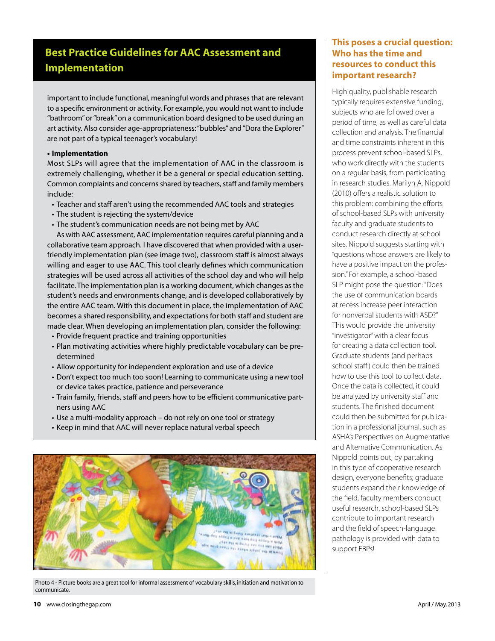### **Best Practice Guidelines for AAC Assessment and Implementation**

important to include functional, meaningful words and phrases that are relevant to a specific environment or activity. For example, you would not want to include "bathroom" or "break" on a communication board designed to be used during an art activity. Also consider age-appropriateness: "bubbles" and "Dora the Explorer" are not part of a typical teenager's vocabulary!

#### **tImplementation**

Most SLPs will agree that the implementation of AAC in the classroom is extremely challenging, whether it be a general or special education setting. Common complaints and concerns shared by teachers, staff and family members include:

- Teacher and staff aren't using the recommended AAC tools and strategies
- The student is rejecting the system/device
- $\cdot$  The student's communication needs are not being met by AAC

As with AAC assessment, AAC implementation requires careful planning and a collaborative team approach. I have discovered that when provided with a userfriendly implementation plan (see image two), classroom staff is almost always willing and eager to use AAC. This tool clearly defines which communication strategies will be used across all activities of the school day and who will help facilitate. The implementation plan is a working document, which changes as the student's needs and environments change, and is developed collaboratively by the entire AAC team. With this document in place, the implementation of AAC becomes a shared responsibility, and expectations for both staff and student are made clear. When developing an implementation plan, consider the following:

- Provide frequent practice and training opportunities
- Plan motivating activities where highly predictable vocabulary can be predetermined
- Allow opportunity for independent exploration and use of a device
- Don't expect too much too soon! Learning to communicate using a new tool or device takes practice, patience and perseverance
- Train family, friends, staff and peers how to be efficient communicative partners using AAC
- Use a multi-modality approach do not rely on one tool or strategy
- Keep in mind that AAC will never replace natural verbal speech



Photo 4 - Picture books are a great tool for informal assessment of vocabulary skills, initiation and motivation to communicate.

### **This poses a crucial question: Who has the time and resources to conduct this important research?**

High quality, publishable research typically requires extensive funding, subjects who are followed over a period of time, as well as careful data collection and analysis. The financial and time constraints inherent in this process prevent school-based SLPs, who work directly with the students on a regular basis, from participating in research studies. Marilyn A. Nippold (2010) offers a realistic solution to this problem: combining the efforts of school-based SLPs with university faculty and graduate students to conduct research directly at school sites. Nippold suggests starting with "questions whose answers are likely to have a positive impact on the profession." For example, a school-based SLP might pose the question: "Does the use of communication boards at recess increase peer interaction for nonverbal students with ASD?" This would provide the university "investigator" with a clear focus for creating a data collection tool. Graduate students (and perhaps school staff) could then be trained how to use this tool to collect data. Once the data is collected, it could be analyzed by university staff and students. The finished document could then be submitted for publication in a professional journal, such as ASHA's Perspectives on Augmentative and Alternative Communication. As Nippold points out, by partaking in this type of cooperative research design, everyone benefits; graduate students expand their knowledge of the field, faculty members conduct useful research, school-based SLPs contribute to important research and the field of speech-language pathology is provided with data to support EBPs!